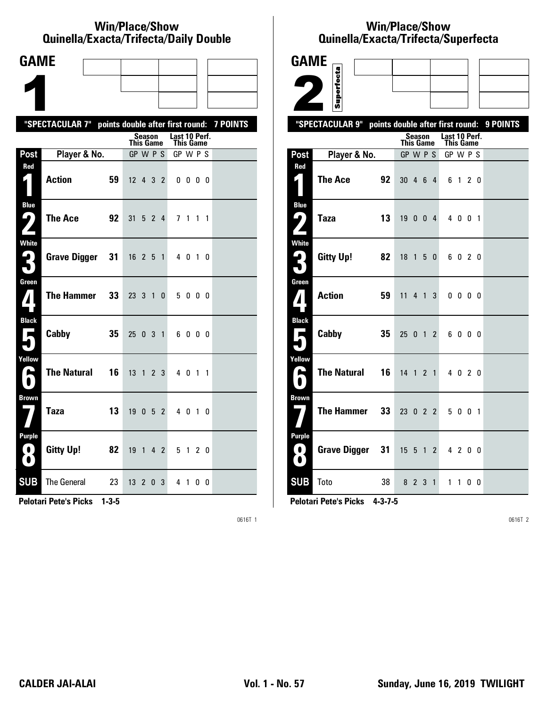#### **Win/Place/Show Qui nel la/Exacta/Tri fecta/Daily Dou ble**

| <b>GAME</b>                                   |                                                           |    |                  |                   |                |                            |              |    |  |
|-----------------------------------------------|-----------------------------------------------------------|----|------------------|-------------------|----------------|----------------------------|--------------|----|--|
|                                               |                                                           |    |                  |                   |                |                            |              |    |  |
|                                               |                                                           |    |                  |                   |                |                            |              |    |  |
|                                               | "SPECTACULAR 7" points double after first round: 7 POINTS |    |                  |                   |                |                            |              |    |  |
|                                               |                                                           |    | <b>This Game</b> | Season            |                | Last 10 Perf.<br>This Game |              |    |  |
| Post                                          | Player & No.                                              |    | GP W P S         |                   |                | GP W P S                   |              |    |  |
| Red<br>$\blacksquare$                         | <b>Action</b>                                             | 59 | $12$ 4 3 2       |                   |                |                            | $0\,0\,0\,0$ |    |  |
| <b>Blue</b><br>ر ما                           | <b>The Ace</b>                                            | 92 | 31               | $5\quad 2\quad 4$ |                |                            | 7 1 1 1      |    |  |
| White<br>2<br>$\blacksquare$                  | <b>Grave Digger</b>                                       | 31 | $16$ 2 5 1       |                   |                |                            | 4 0 1 0      |    |  |
| Green<br>$\mathbf{Z}$                         | <b>The Hammer</b>                                         | 33 | 23 3 1           |                   | 0              |                            | 5000         |    |  |
| <b>Black</b><br>$\overline{\phantom{a}}$      | Cabby                                                     | 35 | 25 0 3 1         |                   |                |                            | 6000         |    |  |
| Yellow<br>$\bullet$                           | <b>The Natural</b>                                        | 16 | 13 1             |                   | 2 <sub>3</sub> |                            | 4 0 1 1      |    |  |
| <b>Brown</b>                                  | <b>Taza</b>                                               | 13 | 19               | 052               |                |                            | 4 0 1 0      |    |  |
| <b>Purple</b><br>$\left( 0\right)$<br>$\bf O$ | <b>Gitty Up!</b>                                          | 82 | 19 1 4 2         |                   |                |                            | 5 1 2 0      |    |  |
| <b>SUB</b>                                    | <b>The General</b>                                        | 23 | $13$ 2 0 3       |                   |                |                            | 4 1          | 00 |  |

**Pelotari Pete's Picks 1-3-5**

0616T 1

# **Win/Place/Show Qui nel la/Exacta/Tri fecta/Super fecta**

| <b>GAME</b>                            |                                                           |    |                              |             |                |                       |              |  |  |
|----------------------------------------|-----------------------------------------------------------|----|------------------------------|-------------|----------------|-----------------------|--------------|--|--|
|                                        | Superfecta                                                |    |                              |             |                |                       |              |  |  |
|                                        |                                                           |    |                              |             |                |                       |              |  |  |
|                                        |                                                           |    |                              |             |                |                       |              |  |  |
|                                        | "SPECTACULAR 9" points double after first round: 9 POINTS |    |                              | Season      |                | Last 10 Perf.         |              |  |  |
| Post                                   | Player & No.                                              |    | <b>This Game</b><br>GP W P S |             |                | This Game<br>GP W P S |              |  |  |
| Red                                    |                                                           |    |                              |             |                |                       |              |  |  |
| $\mathbf{z}$                           | <b>The Ace</b>                                            | 92 | 30 4 6 4                     |             |                |                       | 6 1 2 0      |  |  |
| <b>Blue</b><br>9,                      | <b>Taza</b>                                               | 13 | 19 0 0 4                     |             |                |                       | 4 0 0 1      |  |  |
| White<br>$\mathbf{L}_{\parallel}$<br>┓ | <b>Gitty Up!</b>                                          | 82 | $18$ 1 5 0                   |             |                |                       | 6020         |  |  |
| Green<br>$\boldsymbol{I}$              | <b>Action</b>                                             | 59 | 11                           |             | 4 1 3          |                       | $0\ 0\ 0\ 0$ |  |  |
| <b>Black</b><br>Е                      | Cabby                                                     | 35 | 25                           | $0 \t1 \t2$ |                |                       | 6000         |  |  |
| Yellow<br>Α                            | <b>The Natural</b>                                        | 16 | 14 1 2 1                     |             |                |                       | 4 0 2 0      |  |  |
| <b>Brown</b>                           | <b>The Hammer</b>                                         | 33 | $23$ 0 2 2                   |             |                |                       | 5 0 0 1      |  |  |
| <b>Purple</b><br>0.<br>$\bullet$       | <b>Grave Digger</b>                                       | 31 | $15 \quad 5 \quad 1$         |             | $\overline{2}$ |                       | 4 2 0 0      |  |  |
| <b>SUB</b>                             | Toto                                                      | 38 |                              | 8 2 3 1     |                |                       | 1100         |  |  |

**Pelotari Pete's Picks 4-3-7-5**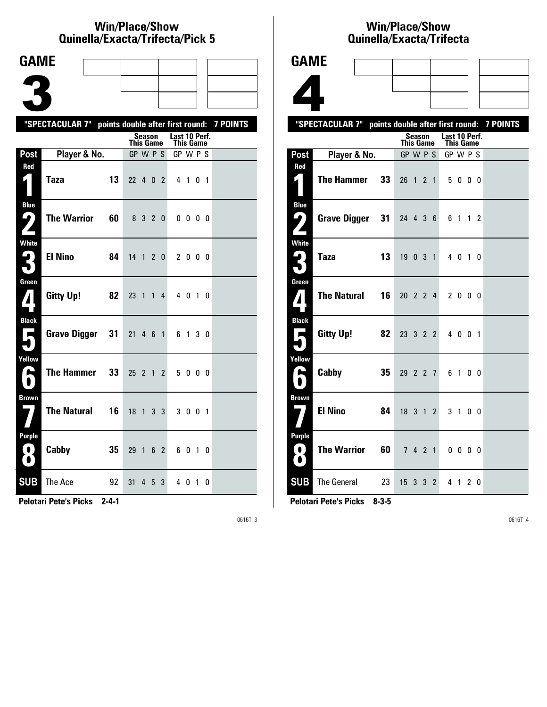#### **Win/Place/Show Qui nel la/Exacta/Tri fecta/Pick 5**

| <b>GAME</b>                           |                                                           |    |                              |                |                |                |                       |              |                |  |
|---------------------------------------|-----------------------------------------------------------|----|------------------------------|----------------|----------------|----------------|-----------------------|--------------|----------------|--|
|                                       |                                                           |    |                              |                |                |                |                       |              |                |  |
|                                       |                                                           |    |                              |                |                |                |                       |              |                |  |
|                                       |                                                           |    |                              |                |                |                |                       |              |                |  |
|                                       | "SPECTACULAR 7" points double after first round: 7 POINTS |    |                              | <b>Season</b>  |                |                | Last 10 Perf.         |              |                |  |
| Post                                  | Player & No.                                              |    | <b>This Game</b><br>GP W P S |                |                |                | This Game<br>GP W P S |              |                |  |
| Red                                   |                                                           |    |                              |                |                |                |                       |              |                |  |
| $\zeta$                               | <b>Taza</b>                                               | 13 | 22 4 0 2                     |                |                |                |                       | 4 1 0        | $\overline{1}$ |  |
| <b>Blue</b><br>ر ما                   | <b>The Warrior</b>                                        | 60 |                              | 8 3            | $\mathbf{2}$   | $\mathbf{0}$   |                       | $0\,0\,0\,0$ |                |  |
|                                       |                                                           |    |                              |                |                |                |                       |              |                |  |
| <b>White</b><br>$\blacktriangleright$ | <b>El Nino</b>                                            | 84 | 14                           | $\mathbf{1}$   | $\mathbf{2}$   | $\mathbf{0}$   |                       | 2 0 0 0      |                |  |
| $\mathbf{I}$                          |                                                           |    |                              |                |                |                |                       |              |                |  |
| Green<br>$\boldsymbol{I}$             | <b>Gitty Up!</b>                                          | 82 | 23                           | $\overline{1}$ | 1              | 4              |                       | 4 0 1        | - 0            |  |
| <b>Black</b>                          |                                                           |    |                              |                |                |                |                       |              |                |  |
| Е                                     | <b>Grave Digger</b>                                       | 31 | 21                           |                | 46             | $\overline{1}$ |                       | 6 1 3 0      |                |  |
| Yellow                                |                                                           |    |                              |                |                |                |                       |              |                |  |
| H                                     | <b>The Hammer</b>                                         | 33 | 25 <sub>2</sub>              |                | $\overline{1}$ | $\overline{2}$ | 5                     | $0\,0\,0$    |                |  |
| <b>Brown</b>                          |                                                           |    |                              |                |                |                |                       |              |                |  |
|                                       | <b>The Natural</b>                                        | 16 | 18                           | $\overline{1}$ | 3              | 3              |                       | 3 0 0 1      |                |  |
| Purple<br>$\bullet$<br>$\bullet$      | Cabby                                                     | 35 | 29                           | $\overline{1}$ |                | 6 2            |                       | 6010         |                |  |
| <b>SUB</b>                            | The Ace                                                   | 92 | 31                           | 4              | 5              | 3              |                       | 4 0 1 0      |                |  |

**Pelotari Pete's Picks 2-4-1**

0616T 3

#### **Win/Place/Show Qui nel la/Exacta/Tri fecta**

|                               | WANIONA/LAUVLA/INDULA                                     |    |                            |                |                |                            |                          |  |  |
|-------------------------------|-----------------------------------------------------------|----|----------------------------|----------------|----------------|----------------------------|--------------------------|--|--|
| <b>GAME</b>                   |                                                           |    |                            |                |                |                            |                          |  |  |
|                               |                                                           |    |                            |                |                |                            |                          |  |  |
|                               |                                                           |    |                            |                |                |                            |                          |  |  |
|                               | "SPECTACULAR 7" points double after first round: 7 POINTS |    |                            |                |                |                            |                          |  |  |
|                               |                                                           |    | <b>Season</b><br>This Game |                |                | Last 10 Perf.<br>This Game |                          |  |  |
| Post                          | Player & No.                                              |    | GP W P S                   |                |                | GP W P S                   |                          |  |  |
| Red<br>$\zeta$ )              | <b>The Hammer</b>                                         | 33 | 26 1 2 1                   |                |                |                            | 5000                     |  |  |
| <b>Blue</b><br>ر پا           | <b>Grave Digger</b>                                       | 31 | 24 4 3 6                   |                |                |                            | 6 1 1 2                  |  |  |
| <b>White</b>                  | <b>Taza</b>                                               | 13 | 19031                      |                |                |                            | 4 0 1 0                  |  |  |
| Green<br>$\bf{Z}$             | <b>The Natural</b>                                        | 16 | 20 2 2 4                   |                |                |                            | 2 0 0 0                  |  |  |
| <b>Black</b><br>Е             | <b>Gitty Up!</b>                                          | 82 | 23 3 2 2                   |                |                |                            | 4 0 0 1                  |  |  |
| Yellow<br>A<br>$\blacksquare$ | Cabby                                                     | 35 | 29 2 2 7                   |                |                |                            | 6100                     |  |  |
| <b>Brown</b>                  | <b>El Nino</b>                                            | 84 | 18 3 1 2                   |                |                |                            | 3 1 0 0                  |  |  |
| <b>Purple</b><br>$\bullet$    | <b>The Warrior</b>                                        | 60 | 7 4 2 1                    |                |                |                            | $0\quad 0\quad 0\quad 0$ |  |  |
|                               | <b>SUB</b> The General                                    | 23 | 15 <sup>3</sup>            | $\overline{3}$ | $\overline{2}$ | 4                          | 120                      |  |  |

**Pelotari Pete's Picks 8-3-5**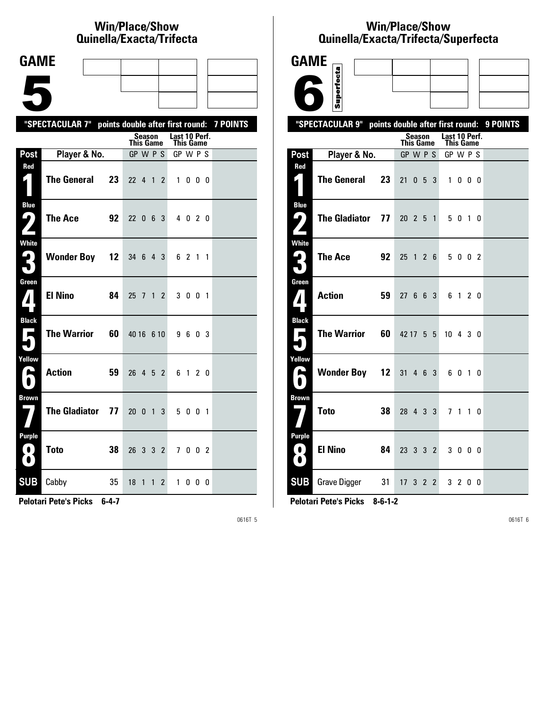# **Win/Place/Show Qui nel la/Exacta/Tri fecta**

| <b>GAME</b>                                                                   |                                                           |    |                              |                |                              |         |  |  |
|-------------------------------------------------------------------------------|-----------------------------------------------------------|----|------------------------------|----------------|------------------------------|---------|--|--|
|                                                                               |                                                           |    |                              |                |                              |         |  |  |
|                                                                               |                                                           |    |                              |                |                              |         |  |  |
|                                                                               | "SPECTACULAR 7" points double after first round: 7 POINTS |    |                              |                |                              |         |  |  |
|                                                                               |                                                           |    | Season                       |                | Last 10 Perf.                |         |  |  |
| Post                                                                          | Player & No.                                              |    | <b>This Game</b><br>GP W P S |                | <b>This Game</b><br>GP W P S |         |  |  |
| Red                                                                           |                                                           |    |                              |                |                              |         |  |  |
| $\mathbf{I}$ )                                                                | <b>The General</b>                                        | 23 | 22 4 1                       | $\mathbf{2}$   |                              | 1000    |  |  |
| <b>Blue</b><br>( ما<br>$\overline{\phantom{a}}$                               | The Ace                                                   | 92 | 22 0 6 3                     |                |                              | 4 0 2 0 |  |  |
| <b>White</b><br>3                                                             | <b>Wonder Boy 12</b>                                      |    | 34 6 4 3                     |                |                              | 6 2 1 1 |  |  |
| Green<br>$\mathbf{Z}$                                                         | <b>El Nino</b>                                            | 84 | 25 7 1                       | $\overline{2}$ |                              | 3 0 0 1 |  |  |
| <b>Black</b><br><b>The State</b>                                              | The Warrior                                               | 60 | 40 16 6 10                   |                |                              | 9603    |  |  |
| Yellow<br>е                                                                   | <b>Action</b>                                             | 59 | 26 4 5 2                     |                |                              | 6 1 2 0 |  |  |
| <b>Brown</b>                                                                  | <b>The Gladiator</b>                                      | 77 | 20 0 1                       | 3              |                              | 5 0 0 1 |  |  |
| <b>Purple</b><br>$\left( \begin{array}{c} 0 \end{array} \right)$<br>$\bullet$ | <b>Toto</b>                                               | 38 | 26 3 3 2                     |                |                              | 7002    |  |  |
| <b>SUB</b>                                                                    | Cabby                                                     | 35 | 18 1 1                       | $\mathbf{2}$   | $\mathbf{1}$                 | 000     |  |  |

**Pelotari Pete's Picks 6-4-7**

0616T 5

# **Win/Place/Show Qui nel la/Exacta/Tri fecta/Super fecta**



**Pelotari Pete's Picks 8-6-1-2**